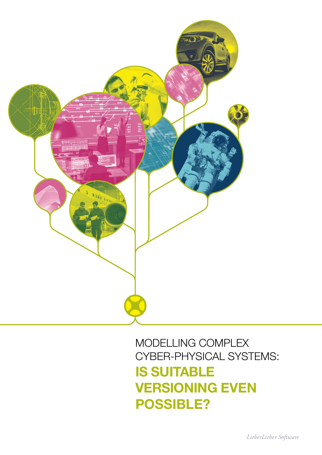

### MODELLING COMPLEX CYBER-PHYSICAL SYSTEMS: IS SUITABLE VERSIONING EVEN POSSIBLE?

*LieberLieber Software*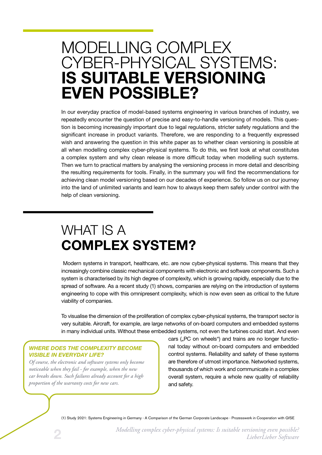# MODELLING COMPLEX CYBER-PHYSICAL SYSTEMS: IS SUITABLE VERSIONING EVEN POSSIBLE?

In our everyday practice of model-based systems engineering in various branches of industry, we repeatedly encounter the question of precise and easy-to-handle versioning of models. This question is becoming increasingly important due to legal regulations, stricter safety regulations and the significant increase in product variants. Therefore, we are responding to a frequently expressed wish and answering the question in this white paper as to whether clean versioning is possible at all when modelling complex cyber-physical systems. To do this, we first look at what constitutes a complex system and why clean release is more difficult today when modelling such systems. Then we turn to practical matters by analysing the versioning process in more detail and describing the resulting requirements for tools. Finally, in the summary you will find the recommendations for achieving clean model versioning based on our decades of experience. So follow us on our journey into the land of unlimited variants and learn how to always keep them safely under control with the help of clean versioning.

# WHAT IS A COMPLEX SYSTEM?

 Modern systems in transport, healthcare, etc. are now cyber-physical systems. This means that they increasingly combine classic mechanical components with electronic and software components. Such a system is characterised by its high degree of complexity, which is growing rapidly, especially due to the spread of software. As a recent study (1) shows, companies are relying on the introduction of systems engineering to cope with this omnipresent complexity, which is now even seen as critical to the future viability of companies.

To visualise the dimension of the proliferation of complex cyber-physical systems, the transport sector is very suitable. Aircraft, for example, are large networks of on-board computers and embedded systems in many individual units. Without these embedded systems, not even the turbines could start. And even

### *WHERE DOES THE COMPLEXITY BECOME VISIBLE IN EVERYDAY LIFE?*

*Of course, the electronic and software systems only become noticeable when they fail - for example, when the new car breaks down. Such failures already account for a high proportion of the warranty costs for new cars.*

cars ("PC on wheels") and trains are no longer functional today without on-board computers and embedded control systems. Reliability and safety of these systems are therefore of utmost importance. Networked systems, thousands of which work and communicate in a complex overall system, require a whole new quality of reliability and safety.

(1) Study 2021: Systems Engineering in Germany - A Comparison of the German Corporate Landscape - Prozesswerk in Cooperation with GfSE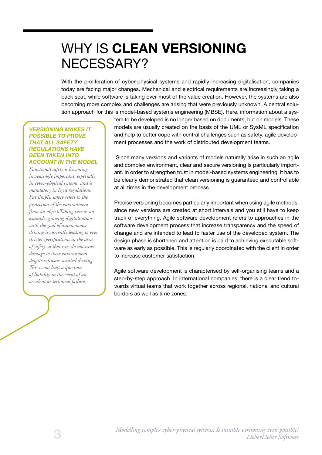# WHY IS CLEAN VERSIONING NECESSARY?

With the proliferation of cyber-physical systems and rapidly increasing digitalisation, companies today are facing major changes. Mechanical and electrical requirements are increasingly taking a back seat, while software is taking over most of the value creation. However, the systems are also becoming more complex and challenges are arising that were previously unknown. A central solution approach for this is model-based systems engineering (MBSE). Here, information about a sys-

#### *VERSIONING MAKES IT POSSIBLE TO PROVE THAT ALL SAFETY REGULATIONS HAVE BEEN TAKEN INTO ACCOUNT IN THE MODEL*

*Functional safety is becoming increasingly important, especially in cyber-physical systems, and is mandatory in legal regulations. Put simply, safety refers to the protection of the environment from an object.Taking cars as an example, growing digitalisation with the goal of autonomous driving is currently leading to ever stricter specifications in the area of safety, so that cars do not cause damage to their environment despite software-assisted driving. This is not least a question of liability in the event of an accident or technical failure.*

tem to be developed is no longer based on documents, but on models. These models are usually created on the basis of the UML or SysML specification and help to better cope with central challenges such as safety, agile development processes and the work of distributed development teams.

 Since many versions and variants of models naturally arise in such an agile and complex environment, clear and secure versioning is particularly important. In order to strengthen trust in model-based systems engineering, it has to be clearly demonstrated that clean versioning is guaranteed and controllable at all times in the development process.

Precise versioning becomes particularly important when using agile methods, since new versions are created at short intervals and you still have to keep track of everything. Agile software development refers to approaches in the software development process that increase transparency and the speed of change and are intended to lead to faster use of the developed system. The design phase is shortened and attention is paid to achieving executable software as early as possible. This is regularly coordinated with the client in order to increase customer satisfaction.

Agile software development is characterised by self-organising teams and a step-by-step approach. In international companies, there is a clear trend towards virtual teams that work together across regional, national and cultural borders as well as time zones.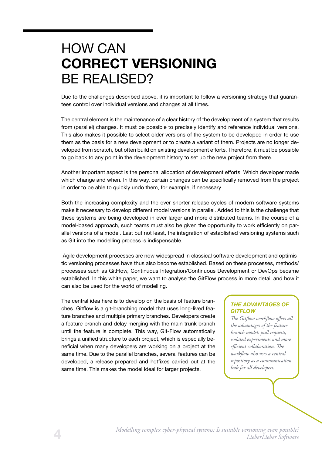## HOW CAN CORRECT VERSIONING BE REALISED?

Due to the challenges described above, it is important to follow a versioning strategy that guarantees control over individual versions and changes at all times.

The central element is the maintenance of a clear history of the development of a system that results from (parallel) changes. It must be possible to precisely identify and reference individual versions. This also makes it possible to select older versions of the system to be developed in order to use them as the basis for a new development or to create a variant of them. Projects are no longer developed from scratch, but often build on existing development efforts. Therefore, it must be possible to go back to any point in the development history to set up the new project from there.

Another important aspect is the personal allocation of development efforts: Which developer made which change and when. In this way, certain changes can be specifically removed from the project in order to be able to quickly undo them, for example, if necessary.

Both the increasing complexity and the ever shorter release cycles of modern software systems make it necessary to develop different model versions in parallel. Added to this is the challenge that these systems are being developed in ever larger and more distributed teams. In the course of a model-based approach, such teams must also be given the opportunity to work efficiently on parallel versions of a model. Last but not least, the integration of established versioning systems such as Git into the modelling process is indispensable.

 Agile development processes are now widespread in classical software development and optimistic versioning processes have thus also become established. Based on these processes, methods/ processes such as GitFlow, Continuous Integration/Continuous Development or DevOps became established. In this white paper, we want to analyse the GitFlow process in more detail and how it can also be used for the world of modelling.

The central idea here is to develop on the basis of feature branches. Gitflow is a git-branching model that uses long-lived feature branches and multiple primary branches. Developers create a feature branch and delay merging with the main trunk branch until the feature is complete. This way, Git-Flow automatically brings a unified structure to each project, which is especially beneficial when many developers are working on a project at the same time. Due to the parallel branches, several features can be developed, a release prepared and hotfixes carried out at the same time. This makes the model ideal for larger projects.

### *THE ADVANTAGES OF GITFLOW*

*The Gitflow workflow offers all the advantages of the feature branch model: pull requests, isolated experiments and more efficient collaboration. The workflow also uses a central repository as a communication hub for all developers.*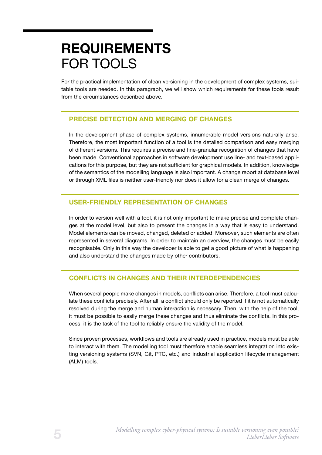## REQUIREMENTS FOR TOOLS

For the practical implementation of clean versioning in the development of complex systems, suitable tools are needed. In this paragraph, we will show which requirements for these tools result from the circumstances described above.

### PRECISE DETECTION AND MERGING OF CHANGES

In the development phase of complex systems, innumerable model versions naturally arise. Therefore, the most important function of a tool is the detailed comparison and easy merging of different versions. This requires a precise and fine-granular recognition of changes that have been made. Conventional approaches in software development use line- and text-based applications for this purpose, but they are not sufficient for graphical models. In addition, knowledge of the semantics of the modelling language is also important. A change report at database level or through XML files is neither user-friendly nor does it allow for a clean merge of changes.

### USER-FRIENDLY REPRESENTATION OF CHANGES

In order to version well with a tool, it is not only important to make precise and complete changes at the model level, but also to present the changes in a way that is easy to understand. Model elements can be moved, changed, deleted or added. Moreover, such elements are often represented in several diagrams. In order to maintain an overview, the changes must be easily recognisable. Only in this way the developer is able to get a good picture of what is happening and also understand the changes made by other contributors.

#### CONFLICTS IN CHANGES AND THEIR INTERDEPENDENCIES

When several people make changes in models, conflicts can arise. Therefore, a tool must calculate these conflicts precisely. After all, a conflict should only be reported if it is not automatically resolved during the merge and human interaction is necessary. Then, with the help of the tool, it must be possible to easily merge these changes and thus eliminate the conflicts. In this process, it is the task of the tool to reliably ensure the validity of the model.

Since proven processes, workflows and tools are already used in practice, models must be able to interact with them. The modelling tool must therefore enable seamless integration into existing versioning systems (SVN, Git, PTC, etc.) and industrial application lifecycle management (ALM) tools.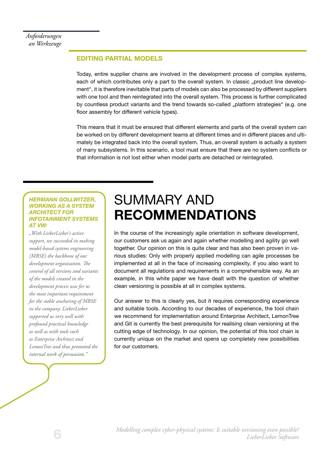### EDITING PARTIAL MODELS

Today, entire supplier chains are involved in the development process of complex systems, each of which contributes only a part to the overall system. In classic ..product line development", it is therefore inevitable that parts of models can also be processed by different suppliers with one tool and then reintegrated into the overall system. This process is further complicated by countless product variants and the trend towards so-called "platform strategies" (e.g. one floor assembly for different vehicle types).

This means that it must be ensured that different elements and parts of the overall system can be worked on by different development teams at different times and in different places and ultimately be integrated back into the overall system. Thus, an overall system is actually a system of many subsystems. In this scenario, a tool must ensure that there are no system conflicts or that information is not lost either when model parts are detached or reintegrated.

#### *HERMANN GOLLWITZER, WORKING AS A SYSTEM ARCHITECT FOR INFOTAINMENT SYSTEMS AT VW:*

*"With LieberLieber's active support, we succeeded in making model-based systems engineering (MBSE) the backbone of our development organisation. The control of all versions and variants of the models created in the development process was for us the most important requirement for the stable anchoring of MBSE in the company. LieberLieber supported us very well with profound practical knowledge as well as with tools such as Enterprise Architect and LemonTree and thus promoted the internal work of persuasion."*

### SUMMARY AND RECOMMENDATIONS

In the course of the increasingly agile orientation in software development, our customers ask us again and again whether modelling and agility go well together. Our opinion on this is quite clear and has also been proven in various studies: Only with properly applied modelling can agile processes be implemented at all in the face of increasing complexity, if you also want to document all regulations and requirements in a comprehensible way. As an example, in this white paper we have dealt with the question of whether clean versioning is possible at all in complex systems.

Our answer to this is clearly yes, but it requires corresponding experience and suitable tools. According to our decades of experience, the tool chain we recommend for implementation around Enterprise Architect, LemonTree and Git is currently the best prerequisite for realising clean versioning at the cutting edge of technology. In our opinion, the potential of this tool chain is currently unique on the market and opens up completely new possibilities for our customers.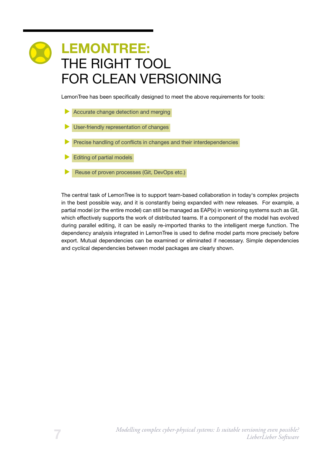# LEMONTREE: THE RIGHT TOOL FOR CLEAN VERSIONING

LemonTree has been specifically designed to meet the above requirements for tools:

- Accurate change detection and merging
- User-friendly representation of changes
- Precise handling of conflicts in changes and their interdependencies
- Editing of partial models
- Reuse of proven processes (Git, DevOps etc.)

The central task of LemonTree is to support team-based collaboration in today's complex projects in the best possible way, and it is constantly being expanded with new releases. For example, a partial model (or the entire model) can still be managed as EAP(x) in versioning systems such as Git, which effectively supports the work of distributed teams. If a component of the model has evolved during parallel editing, it can be easily re-imported thanks to the intelligent merge function. The dependency analysis integrated in LemonTree is used to define model parts more precisely before export. Mutual dependencies can be examined or eliminated if necessary. Simple dependencies and cyclical dependencies between model packages are clearly shown.